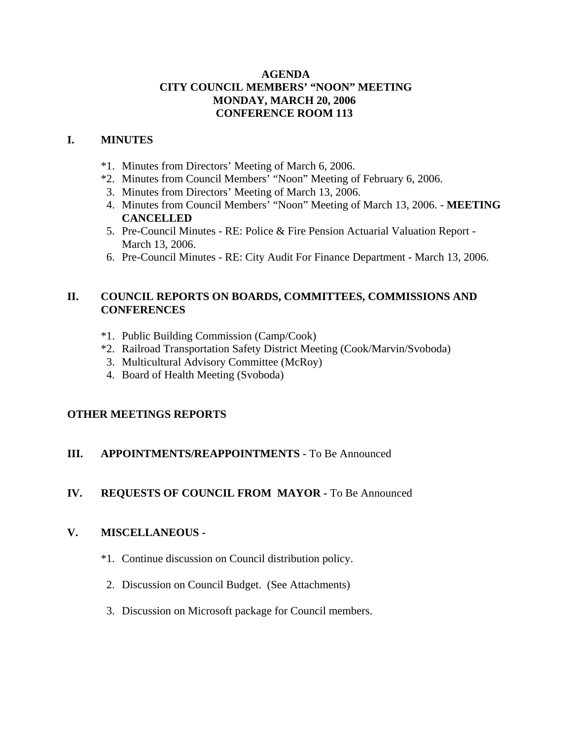#### **AGENDA CITY COUNCIL MEMBERS' "NOON" MEETING MONDAY, MARCH 20, 2006 CONFERENCE ROOM 113**

## **I. MINUTES**

- \*1. Minutes from Directors' Meeting of March 6, 2006.
- \*2. Minutes from Council Members' "Noon" Meeting of February 6, 2006.
- 3. Minutes from Directors' Meeting of March 13, 2006.
- 4. Minutes from Council Members' "Noon" Meeting of March 13, 2006. **MEETING CANCELLED**
- 5. Pre-Council Minutes RE: Police & Fire Pension Actuarial Valuation Report March 13, 2006.
- 6. Pre-Council Minutes RE: City Audit For Finance Department March 13, 2006.

## **II. COUNCIL REPORTS ON BOARDS, COMMITTEES, COMMISSIONS AND CONFERENCES**

- \*1. Public Building Commission (Camp/Cook)
- \*2. Railroad Transportation Safety District Meeting (Cook/Marvin/Svoboda)
- 3. Multicultural Advisory Committee (McRoy)
- 4. Board of Health Meeting (Svoboda)

# **OTHER MEETINGS REPORTS**

# **III.** APPOINTMENTS/REAPPOINTMENTS - To Be Announced

# **IV. REQUESTS OF COUNCIL FROM MAYOR -** To Be Announced

## **V. MISCELLANEOUS -**

- \*1. Continue discussion on Council distribution policy.
- 2. Discussion on Council Budget. (See Attachments)
- 3. Discussion on Microsoft package for Council members.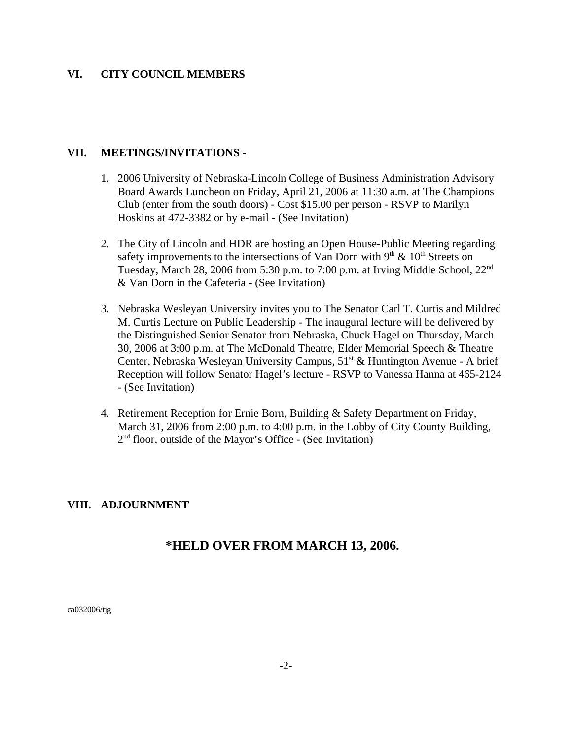#### **VI. CITY COUNCIL MEMBERS**

#### **VII. MEETINGS/INVITATIONS** -

- 1. 2006 University of Nebraska-Lincoln College of Business Administration Advisory Board Awards Luncheon on Friday, April 21, 2006 at 11:30 a.m. at The Champions Club (enter from the south doors) - Cost \$15.00 per person - RSVP to Marilyn Hoskins at 472-3382 or by e-mail - (See Invitation)
- 2. The City of Lincoln and HDR are hosting an Open House-Public Meeting regarding safety improvements to the intersections of Van Dorn with  $9<sup>th</sup> \& 10<sup>th</sup>$  Streets on Tuesday, March 28, 2006 from 5:30 p.m. to 7:00 p.m. at Irving Middle School, 22nd & Van Dorn in the Cafeteria - (See Invitation)
- 3. Nebraska Wesleyan University invites you to The Senator Carl T. Curtis and Mildred M. Curtis Lecture on Public Leadership - The inaugural lecture will be delivered by the Distinguished Senior Senator from Nebraska, Chuck Hagel on Thursday, March 30, 2006 at 3:00 p.m. at The McDonald Theatre, Elder Memorial Speech & Theatre Center, Nebraska Wesleyan University Campus,  $51<sup>st</sup> \&$  Huntington Avenue - A brief Reception will follow Senator Hagel's lecture - RSVP to Vanessa Hanna at 465-2124 - (See Invitation)
- 4. Retirement Reception for Ernie Born, Building & Safety Department on Friday, March 31, 2006 from 2:00 p.m. to 4:00 p.m. in the Lobby of City County Building,  $2<sup>nd</sup>$  floor, outside of the Mayor's Office - (See Invitation)

## **VIII. ADJOURNMENT**

# **\*HELD OVER FROM MARCH 13, 2006.**

ca032006/tjg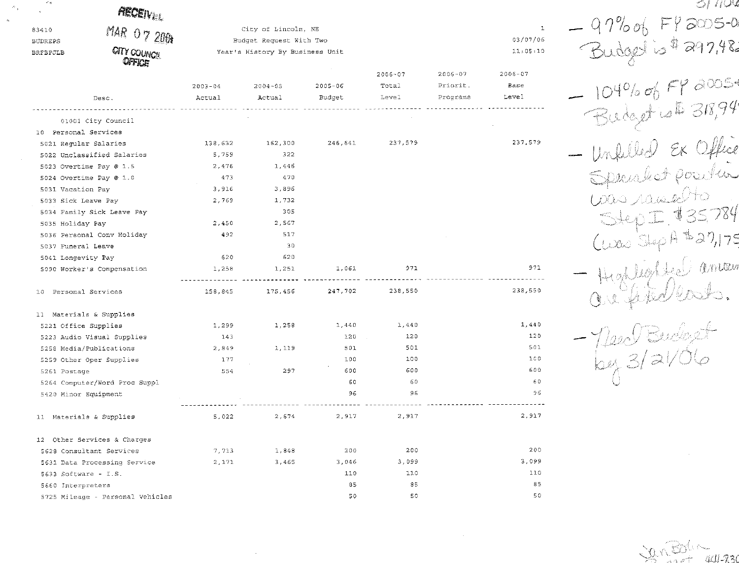| ٣ą                      | <b>AECEIVER</b>                  |                       |                                                |                       |                               |                                     |                              | つに にんぽ                         |
|-------------------------|----------------------------------|-----------------------|------------------------------------------------|-----------------------|-------------------------------|-------------------------------------|------------------------------|--------------------------------|
| 83410<br><b>BUDREPS</b> | MAR 07 2001                      |                       | City of Lincoln, NE<br>Budget Request With Two |                       |                               |                                     | $\mathbf{1}$<br>03/07/06     | 97% of FY 2005-0               |
| BRFBPJLB                | <b>CITY COUNCIL</b><br>OFFICE    |                       | Year's History By Business Unit                |                       |                               |                                     | 11:05:10                     | 297,98                         |
|                         | Desc.                            | $2003 - 04$<br>Actual | $2004 - 05$<br>Actual                          | $2005 - 06$<br>Budget | $2006 - 07$<br>Total<br>Level | $2006 - 07$<br>Priorit.<br>Programs | $2006 - 07$<br>Base<br>Leve! |                                |
|                         | 01001 City Council               |                       |                                                |                       |                               |                                     |                              | 31894                          |
| 10 Personal Services    |                                  |                       |                                                |                       |                               |                                     |                              |                                |
|                         | 5021 Regular Salaries            | 138,632               | 162,300                                        | 246,641               | 237,579                       |                                     | 237,579                      |                                |
|                         | 5022 Unclassified Salaries       | 5,759                 | 322                                            |                       |                               |                                     |                              |                                |
|                         | 5023 Overtime Pay @ 1.5          | 2,476                 | 1,446                                          |                       |                               |                                     |                              |                                |
|                         | 5024 Overtime Pay @ 1.0          | 473                   | 470                                            |                       |                               |                                     |                              | aket position                  |
| 5031 Vacation Pay       |                                  | 3,916                 | 3,896                                          |                       |                               |                                     |                              |                                |
| 5033 Sick Leave Pay     |                                  | 2,769                 | 1,732                                          |                       |                               |                                     |                              |                                |
|                         | 5034 Family Sick Leave Pay       |                       | 305                                            |                       |                               |                                     |                              |                                |
| 5035 Holiday Pay        |                                  | 2,450                 | 2,567                                          |                       |                               |                                     |                              |                                |
|                         | 5036 Personal Conv Holiday       | 492                   | 517                                            |                       |                               |                                     |                              | $\upbeta \cong \supseteq \eta$ |
| 5037 Funeral Leave      |                                  |                       | 30                                             |                       |                               |                                     |                              |                                |
| 5041 Longevity Pay      |                                  | 620                   | 620                                            |                       |                               |                                     |                              |                                |
|                         | 5090 Worker's Compensation       | 1,258                 | 1,251                                          | 1,061                 | 971                           |                                     | 971                          | Antan                          |
| 10 Personal Services    |                                  | 158,845               | 175,456                                        | 247,702               | 238,550                       |                                     | 238,550                      |                                |
|                         | 11 Materials & Supplies          |                       |                                                |                       |                               |                                     |                              |                                |
|                         | 5221 Office Supplies             | 1,299                 | 1,258                                          | 1,440                 | 1,440                         |                                     | 1,440                        |                                |
|                         | 5223 Audio Visual Supplies       | 143                   |                                                | 120                   | 120                           |                                     | 120                          |                                |
|                         | 5258 Media/Publications          | 2,849                 | 1,119                                          | 501                   | 501                           |                                     | 501                          | $\log 3/21/C$                  |
|                         | 5259 Other Oper Supplies         | 177                   |                                                | 100                   | 100                           |                                     | 100                          |                                |
| 5261 Postage            |                                  | 554                   | 297                                            | 600                   | 600                           |                                     | 600                          |                                |
|                         | 5264 Computer/Word Proc Suppl    |                       |                                                | 60                    | 60                            |                                     | 60                           |                                |
|                         | 5420 Minor Equipment             |                       |                                                | 96                    | 96                            |                                     | 96                           |                                |
|                         | 11 Materials & Supplies          | 5,022                 | 2,674                                          | 2,917                 | 2,917                         |                                     | 2,917                        |                                |
|                         | 12 Other Services & Charges      |                       |                                                |                       |                               |                                     |                              |                                |
|                         | 5628 Consultant Services         | 7,713                 | 1,848                                          | 200                   | 200                           |                                     | 200                          |                                |
|                         | 5631 Data Processing Service     | 2,171                 | 3,465                                          | 3,046                 | 3,099                         |                                     | 3,099                        |                                |
|                         | 5633 Software - I.S.             |                       |                                                | 110                   | 110                           |                                     | 110                          |                                |
| 5660 Interpreters       |                                  |                       |                                                | 85                    | 85                            |                                     | 85                           |                                |
|                         | 5725 Mileage - Personal Vehicles |                       |                                                | 50                    | 50                            |                                     | 50                           |                                |

JanBolin

 $\sim 3\%$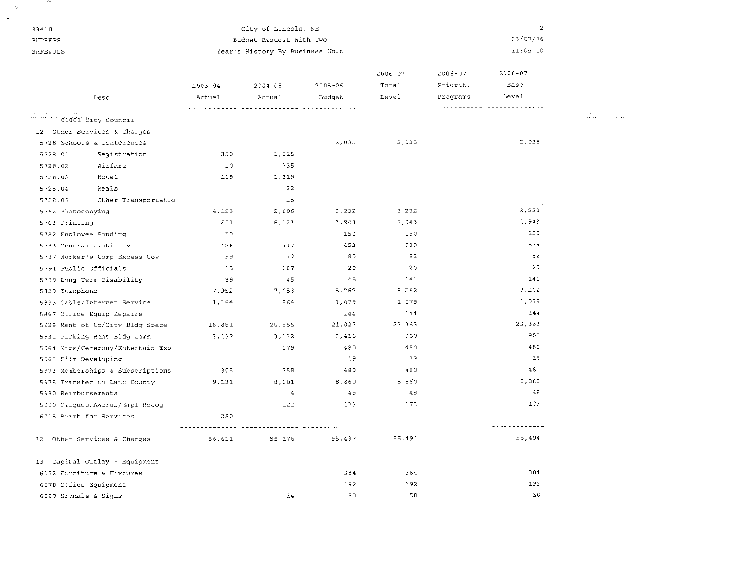| 83410                |                                  |             | City of Lincoln, NE                |             |             |          | $\overline{a}$ |   |
|----------------------|----------------------------------|-------------|------------------------------------|-------------|-------------|----------|----------------|---|
| <b>BUDREPS</b>       |                                  |             | Budget Request With Two            |             | 03/07/06    |          |                |   |
| <b>BRFBPJLB</b>      |                                  |             | Year's History By Business Unit    |             |             |          | 11:05:10       |   |
|                      |                                  |             |                                    |             | $2006 - 07$ | 2006-07  | $2006 - 07$    |   |
|                      |                                  | $2003 - 04$ | $2004 - 05$                        | $2005 - 06$ | Total       | Priorit. | Base           |   |
|                      | Desc.                            | Actual      | Actual                             | Budget      | Level       | Programs | Level          |   |
|                      | """""""""""""01001 City Council  |             |                                    |             |             |          |                | . |
|                      | 12 Other Services & Charges      |             |                                    |             |             |          |                |   |
|                      | 5728 Schools & Conferences       |             |                                    | 2,035       | 2,035       |          | 2,035          |   |
| 5728.01              | Registration                     | 350         | 1,225                              |             |             |          |                |   |
| 5728.02              | Airfare                          | 10          | 735                                |             |             |          |                |   |
| 5728.03              | Hotel                            | 119         | 1,319                              |             |             |          |                |   |
| 5728.04              | Meals                            |             | - 22                               |             |             |          |                |   |
| 5728.06              | Other Transportatio              |             | 25                                 |             |             |          |                |   |
| 5762 Photocopying    |                                  | 4,123       | 2,606                              | 3,232       | 3,232       |          | 3,232          |   |
| 5763 Printing        |                                  | 601         | 6,121                              | 1,943       | 1,943       |          | 1,943          |   |
|                      | 5782 Employee Bonding            | 50          |                                    | 150         | 150         |          | 150            |   |
|                      | 5783 General Liability           | 426         | 347                                | 453         | 539         |          | 539            |   |
|                      | 5787 Worker's Comp Excess Cov    | 99          | - 77                               | 80          | -82         |          | 82             |   |
|                      | 5794 Public Officials            | 15          | 167                                | 20          | 20          |          | 20             |   |
|                      | 5799 Long Term Disability        | 89          | -45                                | 45          | 141         |          | 141            |   |
| 5829 Telephone       |                                  | 7,952       | 7,058                              | 8,262       | 8,262       |          | 8,262          |   |
|                      | 5833 Cable/Internet Service      | 1,164       | 864                                | 1,079       | 1,079       |          | 1,079          |   |
|                      | 5867 Office Equip Repairs        |             |                                    | 144         | 144         |          | 144            |   |
|                      | 5928 Rent of Co/City Bldg Space  | 18,881      | 20,856                             | 21,027      | 23,363      |          | 23,363         |   |
|                      | 5931 Parking Rent Bldg Comm      | 3,132       | 3,132                              | 3,416       | 900         |          | 900            |   |
|                      | 5964 Mtgs/Ceremony/Entertain Exp |             | 179                                | 480         | 480         |          | 480            |   |
| 5965 Film Developing |                                  |             |                                    | 19          | - 19        |          | 19             |   |
|                      | 5973 Memberships & Subscriptions | 305         | 358                                | 480         | 480         |          | 480            |   |
|                      | 5978 Transfer to Lanc County     | 9,131       | 8,601                              | 8,860       | 8,860       |          | 8,860          |   |
| 5980 Reimbursements  |                                  |             | $\overline{4}$                     | 48          | -48         |          | 48             |   |
|                      | 5999 Plaques/Awards/Empl Recog   |             | 122                                | 173         | 173         |          | 173            |   |
|                      | 6015 Reimb for Services          | 280         | ----------- ------------ <b>--</b> |             |             |          |                |   |
|                      | 12 Other Services & Charges      | 56,611      | 59,176                             | 55,437      | 55,494      |          | 55,494         |   |
|                      | 13 Capital Outlay - Equipment    |             |                                    |             |             |          |                |   |
|                      | 6072 Furniture & Fixtures        |             |                                    | 384         | 384         |          | 384            |   |
|                      | 6078 Office Equipment            |             |                                    | 192         | 192         |          | 192            |   |
| 6089 Signals & Signs |                                  |             | 14                                 | 50          | 50          |          | 50             |   |

 $\mathcal{L}_{\mathrm{eff}}$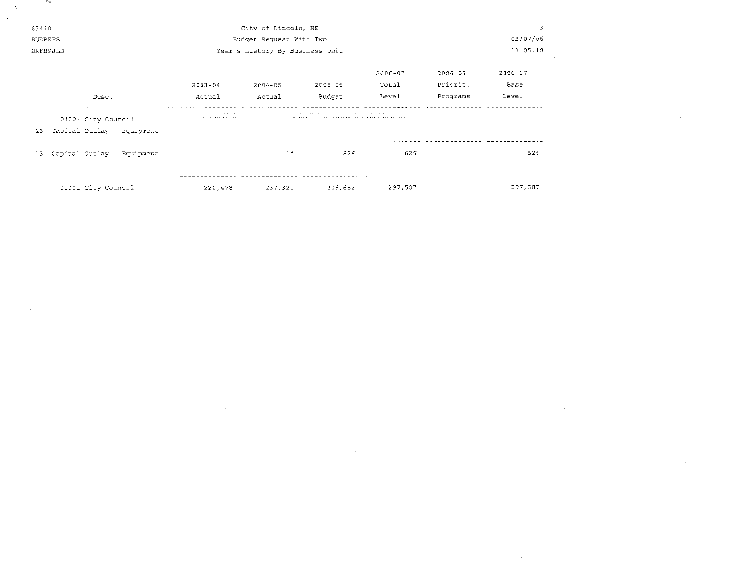| 83410           |                            |                     | City of Lincoln, NE             |                                                      |             |                 | 3           |
|-----------------|----------------------------|---------------------|---------------------------------|------------------------------------------------------|-------------|-----------------|-------------|
| <b>BUDREPS</b>  |                            |                     | Budget Request With Two         | 03/07/06                                             |             |                 |             |
| <b>BRFBPJLB</b> |                            |                     | Year's History By Business Unit |                                                      | 11:05:10    |                 |             |
|                 |                            |                     |                                 |                                                      |             |                 |             |
|                 |                            |                     |                                 |                                                      | $2006 - 07$ | $2006 - 07$     | $2006 - 07$ |
|                 |                            | $2003 - 04$         | $2004 - 05$                     | $2005 - 06$                                          | Total       | Priorit.        | Base        |
|                 | Desc.                      | Actual              | Actual                          | Budget                                               | Level       | Programs        | Level       |
|                 | 01001 City Council         | contract and a<br>. |                                 | and the company of the company of the company of the |             |                 |             |
| 13              | Capital Outlay - Equipment |                     |                                 |                                                      |             |                 |             |
|                 |                            |                     |                                 |                                                      |             |                 |             |
| 13              | Capital Outlay - Equipment |                     | 14                              | 626                                                  | 626         |                 | 626         |
|                 |                            |                     |                                 |                                                      |             |                 |             |
|                 |                            |                     |                                 |                                                      |             |                 |             |
|                 | 01001 City Council         | 220,478             | 237,320                         | 306,682                                              | 297,587     | $\sim 10^{-11}$ | 297,587     |

 $\mathcal{L}(\mathcal{L}(\mathcal{L}))$  and  $\mathcal{L}(\mathcal{L}(\mathcal{L}))$  . The contract of  $\mathcal{L}(\mathcal{L}(\mathcal{L}))$  is a set of  $\mathcal{L}(\mathcal{L})$ 

 $\label{eq:2.1} \frac{1}{2} \sum_{i=1}^n \frac{1}{2} \sum_{j=1}^n \frac{1}{2} \sum_{j=1}^n \frac{1}{2} \sum_{j=1}^n \frac{1}{2} \sum_{j=1}^n \frac{1}{2} \sum_{j=1}^n \frac{1}{2} \sum_{j=1}^n \frac{1}{2} \sum_{j=1}^n \frac{1}{2} \sum_{j=1}^n \frac{1}{2} \sum_{j=1}^n \frac{1}{2} \sum_{j=1}^n \frac{1}{2} \sum_{j=1}^n \frac{1}{2} \sum_{j=1}^n \frac{$ 

 $\lambda_{\rm{eff}}$ 

 $\label{eq:2.1} \begin{array}{cc} \mathfrak{g} & \mathfrak{g} \\ & \mathfrak{g} & \mathfrak{g} \end{array}$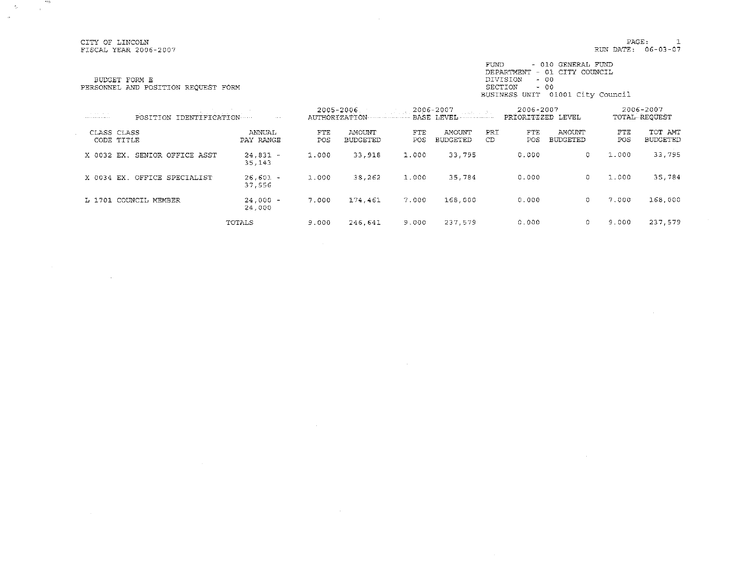CITY OF LINCOLN<br>FISCAL YEAR 2006-2007

**POST** 

 $\sim$ 

 $\mathcal{A}^{\mathcal{A}}$ 

 $\hat{r}_\mathrm{c}$ 

 $\sim$ 

PAGE:  $\mathbf{1}$ RUN DATE: 06-03-07

BUDGET FORM E PERSONNEL AND POSITION REQUEST FORM

FUND - 010 GENERAL FUND<br>DEPARTMENT - 01 CITY COUNCIL DIVISION - 00<br>
BECTION - 00<br>
BECTION - 00<br>
BUSINESS UNIT 01001 City Council

| the contract of the con-<br>. | and the control of the control of<br>IDENTIFICATION<br>POSITION | <b>Contract</b>      |            | 2005-2006<br>AUTHORIZATION | and structure. | 2006-2007                 |            | 2006-2007<br>PRIORITIZED LEVEL |                           |            | 2006-2007<br>TOTAL REQUEST |
|-------------------------------|-----------------------------------------------------------------|----------------------|------------|----------------------------|----------------|---------------------------|------------|--------------------------------|---------------------------|------------|----------------------------|
|                               | CLASS CLASS<br>CODE TITLE                                       | ANNUAL<br>PAY RANGE  | FTE<br>POS | AMOUNT<br><b>BUDGETED</b>  | FTE<br>POS     | AMOUNT<br><b>BUDGETED</b> | PRI<br>CD. | FTE<br>POS.                    | AMOUNT<br><b>BUDGETED</b> | FTE<br>POS | TOT AMT<br><b>BUDGETED</b> |
| X 0032 EX.                    | SENIOR OFFICE ASST                                              | $24,831 -$<br>35,143 | 1.000      | 33,918                     | 1.000          | 33.795                    |            | 0.000                          | G                         | 1.000      | 33,795                     |
| X 0034 EX.                    | OFFICE SPECIALIST                                               | $26,601 -$<br>37,556 | 1,000      | 38,262                     | 1.000          | 35,784                    |            | 0.000                          | $\circ$                   | 1.000      | 35,784                     |
|                               | L 1701 COUNCIL MEMBER                                           | $24,000 -$<br>24,000 | 7.000      | 174.461                    | 7.000          | 168,000                   |            | 0.000                          | $^{\circ}$                | 7.000      | 168,000                    |
|                               |                                                                 | TOTALS               | 9.000      | 246.641                    | 9.000          | 237.579                   |            | 0.000                          | O                         | 9.000      | 237,579                    |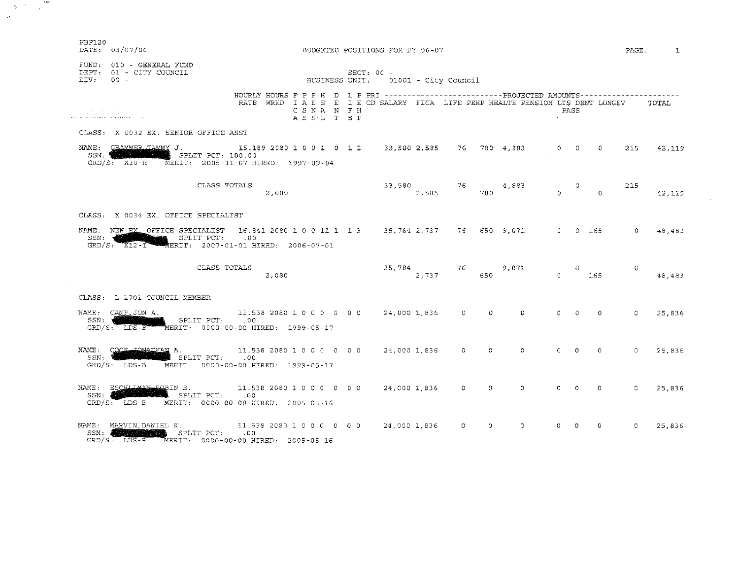| FBP120<br>DATE: 03/07/06                                                                                                                                                                  |                                                                                                                                                                                      |                       | BUDGETED POSITIONS FOR FY 06-07                     |           |                 |          |          |                |                            |           |                | $PAGE:$ 1 |
|-------------------------------------------------------------------------------------------------------------------------------------------------------------------------------------------|--------------------------------------------------------------------------------------------------------------------------------------------------------------------------------------|-----------------------|-----------------------------------------------------|-----------|-----------------|----------|----------|----------------|----------------------------|-----------|----------------|-----------|
| FUND: 010 - GENERAL FUND<br>DEPT: 01 - CITY COUNCIL<br>DIV: 00 -                                                                                                                          |                                                                                                                                                                                      |                       | $SECT: 00 -$<br>BUSINESS UNIT: 01001 - City Council |           |                 |          |          |                |                            |           |                |           |
| an na h-Alban                                                                                                                                                                             | HOURLY HOURS F P P H D L P PRI ------------------------PROJECTED AMOUNTS--------------------<br>RATE WRKD I A E E  I E CD SALARY FICA LIFE PEHP HEALTH PENSION LTS DENT LONGEV TOTAL | CSNA N FH<br>ASSL TEP |                                                     |           |                 |          |          | PASS           |                            |           |                |           |
| CLASS: X 0032 EX. SENIOR OFFICE ASST                                                                                                                                                      |                                                                                                                                                                                      |                       |                                                     |           |                 |          |          |                |                            |           |                |           |
| NAME: GRAMMER TAMMY J. 15.189 2080 1 0 0 1 0 1 2 33,580 2,585 76 780 4,883 0 0 0<br>SSN: William Company<br>$\quad$ SPLIT PCT: 100.00<br>GRD/S: X10-H MERIT: 2005-11-07 HIRED: 1997-09-04 |                                                                                                                                                                                      |                       |                                                     |           |                 |          |          |                |                            |           | 215            | 42,119    |
|                                                                                                                                                                                           | CLASS TOTALS<br>2,080                                                                                                                                                                |                       |                                                     | 33,580 76 | 2,585           | 780      | 4,883    | $\Omega$       | $\bullet$ 0                | $\circ$ 0 | 215            | 42,119    |
| CLASS: X 0034 EX. OFFICE SPECIALIST                                                                                                                                                       |                                                                                                                                                                                      |                       |                                                     |           |                 |          |          |                |                            |           |                |           |
| NAME: NEW EX. OFFICE SPECIALIST 16.841 2080 1 0 0 11 1 1 3 35, 784 2, 737 76 650 9, 071 0 0 165<br>SPLIT PCT: .00<br>SSN:4<br>GRD/S: X12-1 MERIT: 2007-01-01 HIRED: 2006-07-01            |                                                                                                                                                                                      |                       |                                                     |           |                 |          |          |                |                            |           | $\Omega$       | 48,483    |
|                                                                                                                                                                                           | CLASS TOTALS<br>2,080                                                                                                                                                                |                       |                                                     | 2,737     | 35,784 76 9,071 |          | 650 30   |                | $\mathbf{0}$<br>$0 \t 165$ |           | $\overline{0}$ | 48,483    |
| CLASS: L 1701 COUNCIL MEMBER                                                                                                                                                              |                                                                                                                                                                                      |                       |                                                     |           |                 |          |          |                |                            |           |                |           |
| NAME: CAMP JON A.<br>SSN: WEBSTAND SPLIT PCT: .00<br>GRD/S: LDS-B MERIT: 0000-00-00 HIRED: 1999-05-17                                                                                     | 11.538 2080 1 0 0 0 0 0 0 0 24,000 1,836 0                                                                                                                                           |                       |                                                     |           |                 | $\Omega$ | $\Omega$ | O.             | $\Omega$                   | $\Omega$  | $\Omega$       | 25,836    |
| NAME: COOK TOWATHAN A. 11.53<br>GRD/S: LDS-B MERIT: 0000-00-00 HIRED: 1999-05-17                                                                                                          | 11.538 2080 1 0 0 0 0 0 0 0 24,000 1,836                                                                                                                                             |                       |                                                     |           | $\Omega$        | $\Omega$ | 0        | $\Omega$       | $\Omega$                   | $\Omega$  | $\Omega$       | 25,836    |
| NAME: ESCHIJAN-BOBIN S. 11.538 2080 1 0 0 0 0 0 0 0 24,000 1,836 0 SSN.<br>$\blacksquare$ SPLIT PCT: $.00$<br>SSN: <b>AND</b><br>$GRD/S$ : LDS-B                                          | MERIT: 0000-00-00 HIRED: 2005-05-16                                                                                                                                                  |                       |                                                     |           |                 | $\circ$  | $\Omega$ | $0 \quad \Box$ | $\Omega$                   | $\circ$   | $\Omega$       | 25,836    |
| NAME: MARVIN, DANIEL K. 11.538 2080 1 0 0 0 0 0 0 0 24,000 1,836 0<br><b>NEWS ARRIVES AND SPLIT PCT:</b> 00<br>SSN: 4<br>GRD/S: LDS-B MERIT: 0000-00-00 HIRED: 2005-05-16                 |                                                                                                                                                                                      |                       |                                                     |           |                 | 0        | $\Omega$ | $\circ$        | -0                         | $\circ$   | $\circ$        | 25,836    |

 $\label{eq:2.1} \phi_{\rm c} = \frac{1}{\sqrt{2\pi}} \frac{e^{-\frac{2\pi i}{\hbar}}}{\sqrt{2\pi}}.$  and